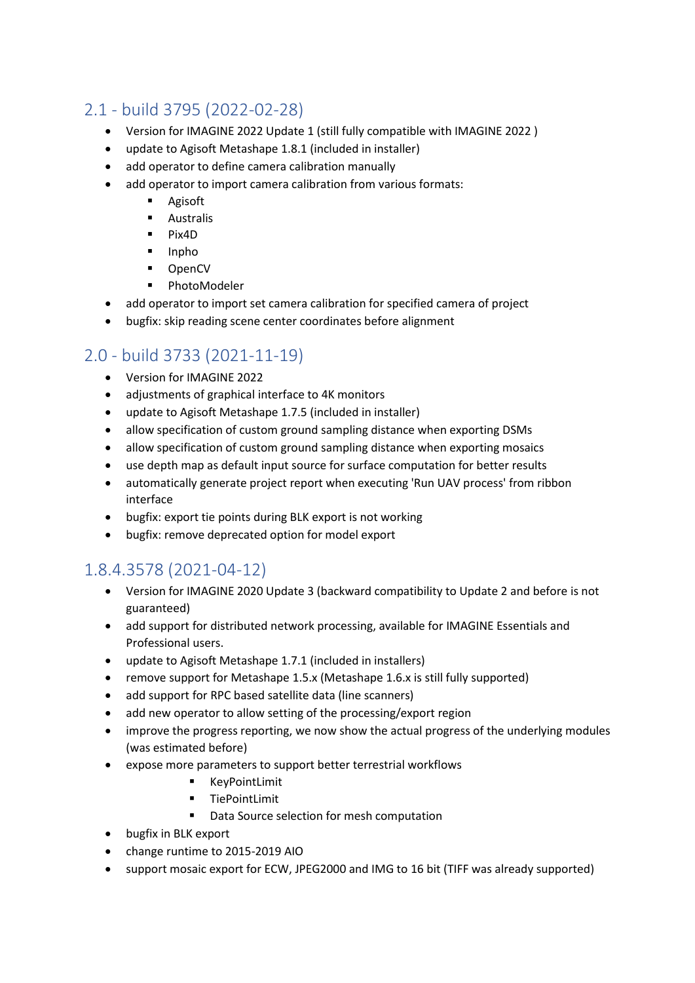## 2.1 - build 3795 (2022-02-28)

- Version for IMAGINE 2022 Update 1 (still fully compatible with IMAGINE 2022 )
- update to Agisoft Metashape 1.8.1 (included in installer)
- add operator to define camera calibration manually
- add operator to import camera calibration from various formats:
	- Agisoft
	- Australis
	- Pix4D
	- Inpho
	- OpenCV
	- PhotoModeler
- add operator to import set camera calibration for specified camera of project
- bugfix: skip reading scene center coordinates before alignment

## 2.0 - build 3733 (2021-11-19)

- Version for IMAGINE 2022
- adjustments of graphical interface to 4K monitors
- update to Agisoft Metashape 1.7.5 (included in installer)
- allow specification of custom ground sampling distance when exporting DSMs
- allow specification of custom ground sampling distance when exporting mosaics
- use depth map as default input source for surface computation for better results
- automatically generate project report when executing 'Run UAV process' from ribbon interface
- bugfix: export tie points during BLK export is not working
- bugfix: remove deprecated option for model export

### 1.8.4.3578 (2021-04-12)

- Version for IMAGINE 2020 Update 3 (backward compatibility to Update 2 and before is not guaranteed)
- add support for distributed network processing, available for IMAGINE Essentials and Professional users.
- update to Agisoft Metashape 1.7.1 (included in installers)
- remove support for Metashape 1.5.x (Metashape 1.6.x is still fully supported)
- add support for RPC based satellite data (line scanners)
- add new operator to allow setting of the processing/export region
- improve the progress reporting, we now show the actual progress of the underlying modules (was estimated before)
- expose more parameters to support better terrestrial workflows
	- KeyPointLimit
	- TiePointLimit
	- Data Source selection for mesh computation
- bugfix in BLK export
- change runtime to 2015-2019 AIO
- support mosaic export for ECW, JPEG2000 and IMG to 16 bit (TIFF was already supported)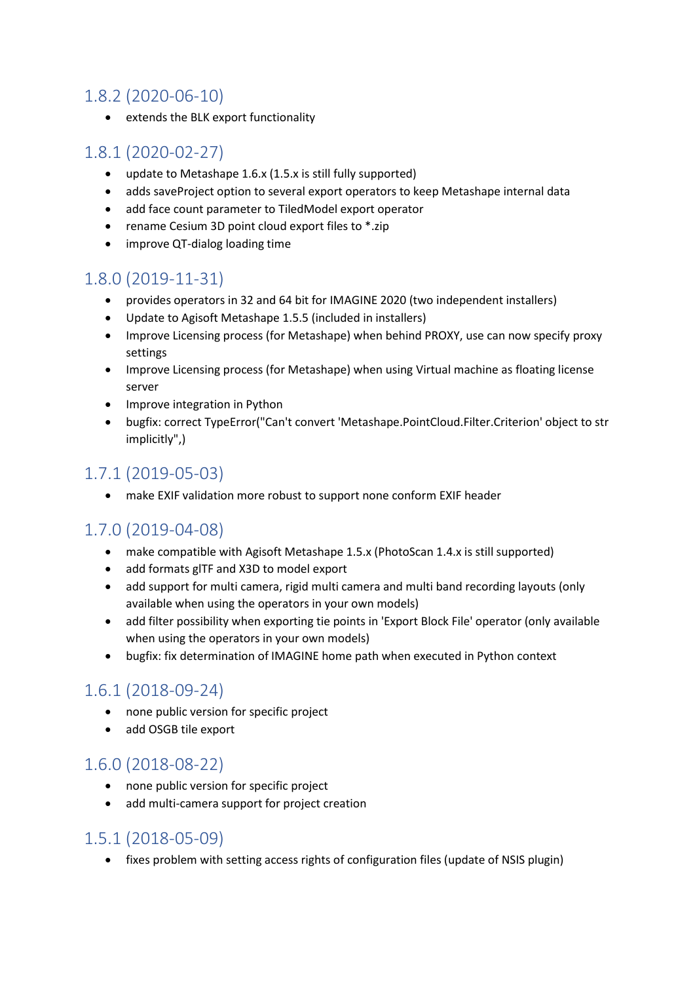## 1.8.2 (2020-06-10)

• extends the BLK export functionality

### 1.8.1 (2020-02-27)

- update to Metashape 1.6.x (1.5.x is still fully supported)
- adds saveProject option to several export operators to keep Metashape internal data
- add face count parameter to TiledModel export operator
- rename Cesium 3D point cloud export files to \*.zip
- improve QT-dialog loading time

#### 1.8.0 (2019-11-31)

- provides operators in 32 and 64 bit for IMAGINE 2020 (two independent installers)
- Update to Agisoft Metashape 1.5.5 (included in installers)
- Improve Licensing process (for Metashape) when behind PROXY, use can now specify proxy settings
- Improve Licensing process (for Metashape) when using Virtual machine as floating license server
- Improve integration in Python
- bugfix: correct TypeError("Can't convert 'Metashape.PointCloud.Filter.Criterion' object to str implicitly",)

# 1.7.1 (2019-05-03)

• make EXIF validation more robust to support none conform EXIF header

### 1.7.0 (2019-04-08)

- make compatible with Agisoft Metashape 1.5.x (PhotoScan 1.4.x is still supported)
- add formats glTF and X3D to model export
- add support for multi camera, rigid multi camera and multi band recording layouts (only available when using the operators in your own models)
- add filter possibility when exporting tie points in 'Export Block File' operator (only available when using the operators in your own models)
- bugfix: fix determination of IMAGINE home path when executed in Python context

### 1.6.1 (2018-09-24)

- none public version for specific project
- add OSGB tile export

#### 1.6.0 (2018-08-22)

- none public version for specific project
- add multi-camera support for project creation

### 1.5.1 (2018-05-09)

• fixes problem with setting access rights of configuration files (update of NSIS plugin)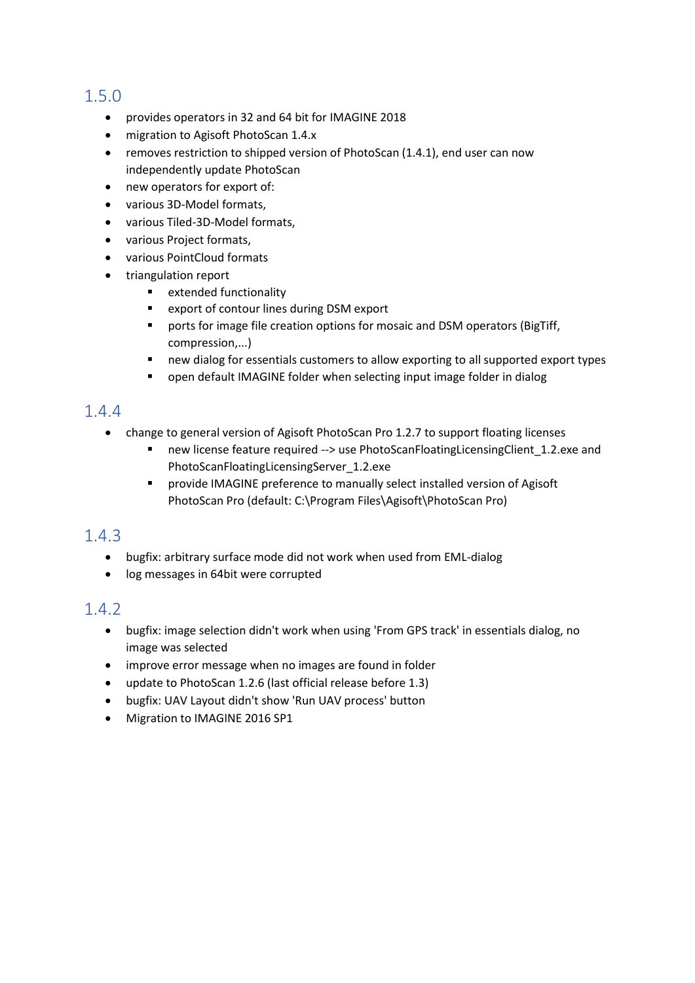## 1.5.0

- provides operators in 32 and 64 bit for IMAGINE 2018
- migration to Agisoft PhotoScan 1.4.x
- removes restriction to shipped version of PhotoScan (1.4.1), end user can now independently update PhotoScan
- new operators for export of:
- various 3D-Model formats,
- various Tiled-3D-Model formats,
- various Project formats,
- various PointCloud formats
- triangulation report
	- extended functionality
	- export of contour lines during DSM export
	- ports for image file creation options for mosaic and DSM operators (BigTiff, compression,...)
	- new dialog for essentials customers to allow exporting to all supported export types
	- open default IMAGINE folder when selecting input image folder in dialog

### 1.4.4

- change to general version of Agisoft PhotoScan Pro 1.2.7 to support floating licenses
	- new license feature required --> use PhotoScanFloatingLicensingClient\_1.2.exe and PhotoScanFloatingLicensingServer\_1.2.exe
	- provide IMAGINE preference to manually select installed version of Agisoft PhotoScan Pro (default: C:\Program Files\Agisoft\PhotoScan Pro)

#### 1.4.3

- bugfix: arbitrary surface mode did not work when used from EML-dialog
- log messages in 64bit were corrupted

#### 1.4.2

- bugfix: image selection didn't work when using 'From GPS track' in essentials dialog, no image was selected
- improve error message when no images are found in folder
- update to PhotoScan 1.2.6 (last official release before 1.3)
- bugfix: UAV Layout didn't show 'Run UAV process' button
- Migration to IMAGINE 2016 SP1